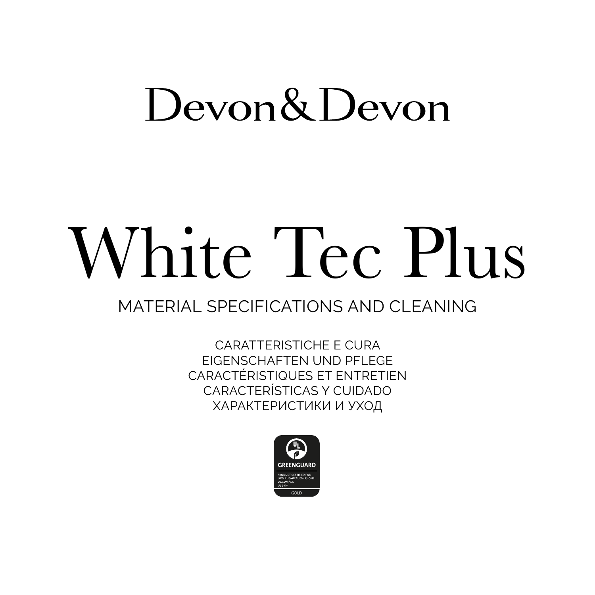# Devon& Devon

# White Tec Plus

# MATERIAL SPECIFICATIONS AND CLEANING

CARATTERISTICHE E CURA FIGENSCHAFTEN UND PELEGE CARACTÉRISTIQUES ET ENTRETIEN CARACTERÍSTICAS Y CUIDADO ХАРАКТЕРИСТИКИ И УХОД

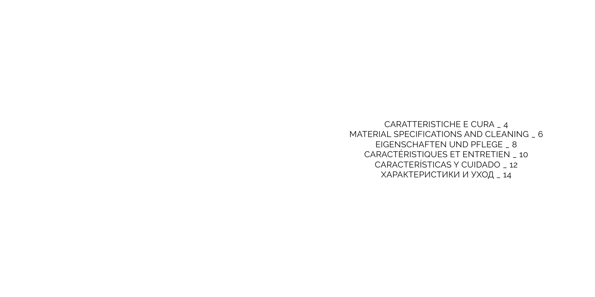CARATTERISTICHE E CURA \_ 4 MATERIAL SPECIFICATIONS AND CLEANING \_ 6 EIGENSCHAFTEN UND PFLEGE \_ 8 CARACTÉRISTIQUES ET ENTRETIEN \_ 10 CARACTERÍSTICAS Y CUIDADO \_ 12 ХАРАКТЕРИСТИКИ И УХОД \_ 14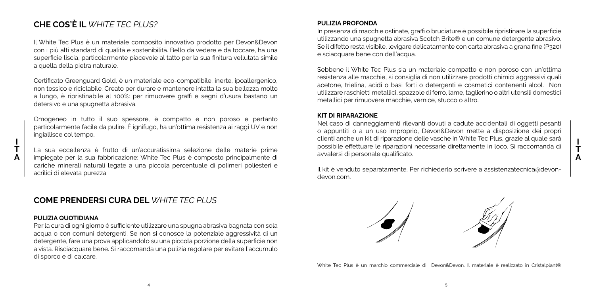# **CHE COS'È IL** *WHITE TEC PLUS?*

Il White Tec Plus è un materiale composito innovativo prodotto per Devon&Devon con i più alti standard di qualità e sostenibilità. Bello da vedere e da toccare, ha una superficie liscia, particolarmente piacevole al tatto per la sua finitura vellutata simile a quella della pietra naturale.

Certificato Greenguard Gold, è un materiale eco-compatibile, inerte, ipoallergenico, non tossico e riciclabile. Creato per durare e mantenere intatta la sua bellezza molto a lungo, è ripristinabile al 100%: per rimuovere graffi e segni d'usura bastano un detersivo e una spugnetta abrasiva.

Omogeneo in tutto il suo spessore, è compatto e non poroso e pertanto particolarmente facile da pulire. È ignifugo, ha un'ottima resistenza ai raggi UV e non ingiallisce col tempo.

La sua eccellenza è frutto di un'accuratissima selezione delle materie prime impiegate per la sua fabbricazione: White Tec Plus è composto principalmente di cariche minerali naturali legate a una piccola percentuale di polimeri poliesteri e acrilici di elevata purezza.

# **COME PRENDERSI CURA DEL** *WHITE TEC PLUS*

#### **PULIZIA QUOTIDIANA**

Per la cura di ogni giorno è sufficiente utilizzare una spugna abrasiva bagnata con sola acqua o con comuni detergenti. Se non si conosce la potenziale aggressività di un detergente, fare una prova applicandolo su una piccola porzione della superficie non a vista. Risciacquare bene. Si raccomanda una pulizia regolare per evitare l'accumulo di sporco e di calcare.

#### **PULIZIA PROFONDA**

In presenza di macchie ostinate, graffi o bruciature è possibile ripristinare la superficie utilizzando una spugnetta abrasiva Scotch Brite® e un comune detergente abrasivo. Se il difetto resta visibile, levigare delicatamente con carta abrasiva a grana fine (P320) e sciacquare bene con dell'acqua.

Sebbene il White Tec Plus sia un materiale compatto e non poroso con un'ottima resistenza alle macchie, si consiglia di non utilizzare prodotti chimici aggressivi quali acetone, trielina, acidi o basi forti o detergenti e cosmetici contenenti alcol. Non utilizzare raschietti metallici, spazzole di ferro, lame, taglierino o altri utensili domestici metallici per rimuovere macchie, vernice, stucco o altro.

#### **KIT DI RIPARAZIONE**

Nel caso di danneggiamenti rilevanti dovuti a cadute accidentali di oggetti pesanti o appuntiti o a un uso improprio, Devon&Devon mette a disposizione dei propri clienti anche un kit di riparazione delle vasche in White Tec Plus, grazie al quale sarà possibile effettuare le riparazioni necessarie direttamente in loco. Si raccomanda di avvalersi di personale qualificato.

**I T A**

Il kit è venduto separatamente. Per richiederlo scrivere a assistenzatecnica@devondevon.com.



White Tec Plus è un marchio commerciale di Devon&Devon. Il materiale è realizzato in Cristalplant®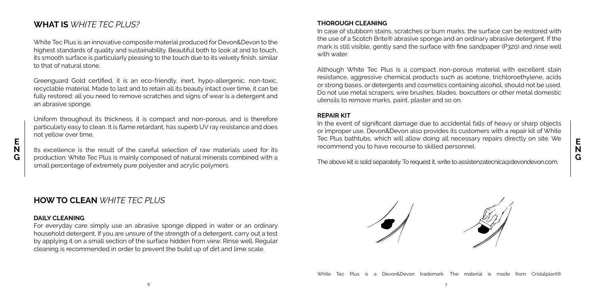# **WHAT IS** *WHITE TEC PLUS?*

White Tec Plus is an innovative composite material produced for Devon&Devon to the highest standards of quality and sustainability. Beautiful both to look at and to touch, its smooth surface is particularly pleasing to the touch due to its velvety finish, similar to that of natural stone.

Greenguard Gold certified, it is an eco-friendly, inert, hypo-allergenic, non-toxic, recyclable material. Made to last and to retain all its beauty intact over time, it can be fully restored: all you need to remove scratches and signs of wear is a detergent and an abrasive sponge.

Uniform throughout its thickness, it is compact and non-porous, and is therefore particularly easy to clean. It is flame retardant, has superb UV ray resistance and does not yellow over time.

Its excellence is the result of the careful selection of raw materials used for its production: White Tec Plus is mainly composed of natural minerals combined with a small percentage of extremely pure polyester and acrylic polymers.

# **HOW TO CLEAN** *WHITE TEC PLUS*

## **DAILY CLEANING**

**E N G**

> For everyday care simply use an abrasive sponge dipped in water or an ordinary household detergent. If you are unsure of the strength of a detergent, carry out a test by applying it on a small section of the surface hidden from view. Rinse well. Regular cleaning is recommended in order to prevent the build up of dirt and lime scale.

# **THOROUGH CLEANING**

In case of stubborn stains, scratches or burn marks, the surface can be restored with the use of a Scotch Brite® abrasive sponge and an ordinary abrasive detergent. If the mark is still visible, gently sand the surface with fine sandpaper (P320) and rinse well with water.

Although White Tec Plus is a compact non-porous material with excellent stain resistance, aggressive chemical products such as acetone, trichloroethylene, acids or strong bases, or detergents and cosmetics containing alcohol, should not be used. Do not use metal scrapers, wire brushes, blades, boxcutters or other metal domestic utensils to remove marks, paint, plaster and so on.

#### **REPAIR KIT**

In the event of significant damage due to accidental falls of heavy or sharp objects or improper use, Devon&Devon also provides its customers with a repair kit of White Tec Plus bathtubs, which will allow doing all necessary repairs directly on site. We recommend you to have recourse to skilled personnel.

The above kit is sold separately. To request it, write to assistenzatecnica@devondevon.com.

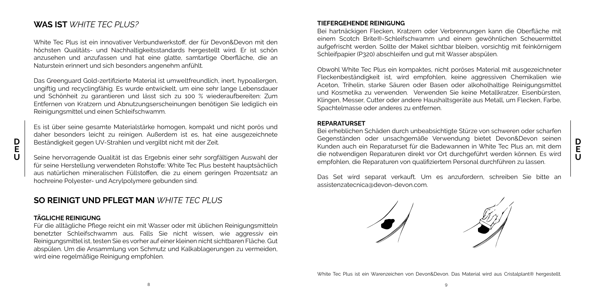# **WAS IST** *WHITE TEC PLUS?*

White Tec Plus ist ein innovativer Verbundwerkstoff, der für Devon&Devon mit den höchsten Qualitäts- und Nachhaltigkeitsstandards hergestellt wird. Er ist schön anzusehen und anzufassen und hat eine glatte, samtartige Oberfläche, die an Naturstein erinnert und sich besonders angenehm anfühlt.

Das Greenguard Gold-zertifizierte Material ist umweltfreundlich, inert, hypoallergen, ungiftig und recyclingfähig. Es wurde entwickelt, um eine sehr lange Lebensdauer und Schönheit zu garantieren und lässt sich zu 100 % wiederaufbereiten: Zum Entfernen von Kratzern und Abnutzungserscheinungen benötigen Sie lediglich ein Reinigungsmittel und einen Schleifschwamm.

Es ist über seine gesamte Materialstärke homogen, kompakt und nicht porös und daher besonders leicht zu reinigen. Außerdem ist es, hat eine ausgezeichnete Beständigkeit gegen UV-Strahlen und vergilbt nicht mit der Zeit.

Seine hervorragende Qualität ist das Ergebnis einer sehr sorgfältigen Auswahl der für seine Herstellung verwendeten Rohstoffe: White Tec Plus besteht hauptsächlich aus natürlichen mineralischen Füllstoffen, die zu einem geringen Prozentsatz an hochreine Polyester- und Acrylpolymere gebunden sind.

# **SO REINIGT UND PFLEGT MAN** *WHITE TEC PLUS*

#### **TÄGLICHE REINIGUNG**

**D E U**

> Für die alltägliche Pflege reicht ein mit Wasser oder mit üblichen Reinigungsmitteln benetzter Schleifschwamm aus. Falls Sie nicht wissen, wie aggressiv ein Reinigungsmittel ist, testen Sie es vorher auf einer kleinen nicht sichtbaren Fläche. Gut abspülen. Um die Ansammlung von Schmutz und Kalkablagerungen zu vermeiden, wird eine regelmäßige Reinigung empfohlen.

#### **TIEFERGEHENDE REINIGUNG**

Bei hartnäckigen Flecken, Kratzern oder Verbrennungen kann die Oberfläche mit einem Scotch Brite®-Schleifschwamm und einem gewöhnlichen Scheuermittel aufgefrischt werden. Sollte der Makel sichtbar bleiben, vorsichtig mit feinkörnigem Schleifpapier (P320) abschleifen und gut mit Wasser abspülen.

Obwohl White Tec Plus ein kompaktes, nicht poröses Material mit ausgezeichneter Fleckenbeständigkeit ist, wird empfohlen, keine aggressiven Chemikalien wie Aceton, Trihelin, starke Säuren oder Basen oder alkoholhaltige Reinigungsmittel und Kosmetika zu verwenden. Verwenden Sie keine Metallkratzer, Eisenbürsten, Klingen, Messer, Cutter oder andere Haushaltsgeräte aus Metall, um Flecken, Farbe, Spachtelmasse oder anderes zu entfernen.

#### **REPARATURSET**

Bei erheblichen Schäden durch unbeabsichtigte Stürze von schweren oder scharfen Gegenständen oder unsachgemäße Verwendung bietet Devon&Devon seinen Kunden auch ein Reparaturset für die Badewannen in White Tec Plus an, mit dem die notwendigen Reparaturen direkt vor Ort durchgeführt werden können. Es wird empfohlen, die Reparaturen von qualifiziertem Personal durchführen zu lassen.

Das Set wird separat verkauft. Um es anzufordern, schreiben Sie bitte an assistenzatecnica@devon-devon.com.

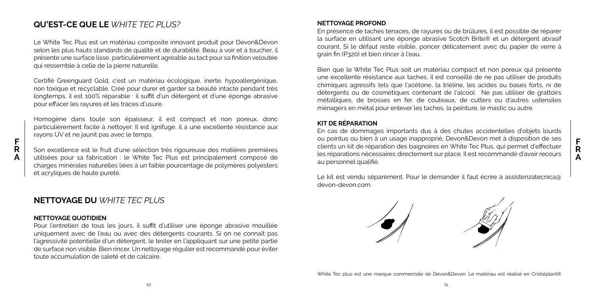# **QU'EST-CE QUE LE** *WHITE TEC PLUS?*

Le White Tec Plus est un matériau composite innovant produit pour Devon&Devon selon les plus hauts standards de qualité et de durabilité. Beau à voir et à toucher, il présente une surface lisse, particulièrement agréable au tact pour sa finition veloutée qui ressemble à celle de la pierre naturelle.

Certifié Greenguard Gold, c'est un matériau écologique, inerte, hypoallergénique, non toxique et recyclable. Créé pour durer et garder sa beauté intacte pendant très longtemps, il est 100% réparable : il suffit d'un détergent et d'une éponge abrasive pour effacer les rayures et les traces d'usure.

Homogène dans toute son épaisseur, il est compact et non poreux, donc particulièrement facile à nettoyer. Il est ignifuge, il a une excellente résistance aux rayons UV et ne jaunit pas avec le temps.

Son excellence est le fruit d'une sélection très rigoureuse des matières premières utilisées pour sa fabrication : le White Tec Plus est principalement composé de charges minérales naturelles liées à un faible pourcentage de polymères polyesters et acryliques de haute pureté.

# **NETTOYAGE DU** *WHITE TEC PLUS*

#### **NETTOYAGE QUOTIDIEN**

**F R A**

> Pour l'entretien de tous les jours, il suffit d'utiliser une éponge abrasive mouillée uniquement avec de l'eau ou avec des détergents courants. Si on ne connaît pas l'agressivité potentielle d'un détergent, le tester en l'appliquant sur une petite partie de surface non visible. Bien rincer. Un nettoyage régulier est recommandé pour éviter toute accumulation de saleté et de calcaire.

#### **NETTOYAGE PROFOND**

En présence de taches tenaces, de rayures ou de brûlures, il est possible de réparer la surface en utilisant une éponge abrasive Scotch Brite® et un détergent abrasif courant. Si le défaut reste visible, poncer délicatement avec du papier de verre à grain fin (P320) et bien rincer à l'eau.

Bien que le White Tec Plus soit un matériau compact et non poreux qui présente une excellente résistance aux taches, il est conseillé de ne pas utiliser de produits chimiques agressifs tels que l'acétone, la triéline, les acides ou bases forts, ni de détergents ou de cosmétiques contenant de l'alcool. Ne pas utiliser de grattoirs métalliques, de brosses en fer, de couteaux, de cutters ou d'autres ustensiles ménagers en métal pour enlever les taches, la peinture, le mastic ou autre.

#### **KIT DE RÉPARATION**

En cas de dommages importants dus à des chutes accidentelles d'objets lourds ou pointus ou bien à un usage inapproprié, Devon&Devon met à disposition de ses clients un kit de réparation des baignoires en White Tec Plus, qui permet d'effectuer les réparations nécessaires directement sur place. Il est recommandé d'avoir recours au personnel qualifié.

Le kit est vendu séparément. Pour le demander il faut écrire à assistenzatecnica@ devon-devon.com.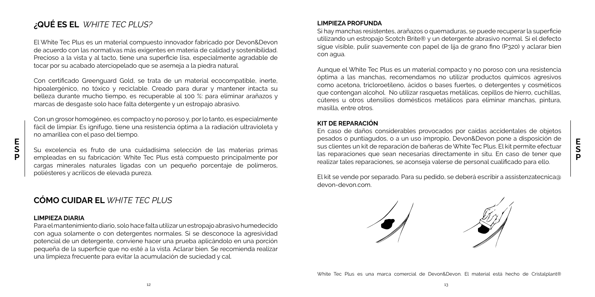# **¿QUÉ ES EL** *WHITE TEC PLUS?*

El White Tec Plus es un material compuesto innovador fabricado por Devon&Devon de acuerdo con las normativas más exigentes en materia de calidad y sostenibilidad. Precioso a la vista y al tacto, tiene una superficie lisa, especialmente agradable de tocar por su acabado aterciopelado que se asemeja a la piedra natural.

Con certificado Greenguard Gold, se trata de un material ecocompatible, inerte, hipoalergénico, no tóxico y reciclable. Creado para durar y mantener intacta su belleza durante mucho tiempo, es recuperable al 100 %: para eliminar arañazos y marcas de desgaste solo hace falta detergente y un estropajo abrasivo.

Con un grosor homogéneo, es compacto y no poroso y, por lo tanto, es especialmente fácil de limpiar. Es ignífugo, tiene una resistencia óptima a la radiación ultravioleta y no amarillea con el paso del tiempo.

Su excelencia es fruto de una cuidadísima selección de las materias primas empleadas en su fabricación: White Tec Plus está compuesto principalmente por cargas minerales naturales ligadas con un pequeño porcentaje de polímeros, poliésteres y acrílicos de elevada pureza.

# **CÓMO CUIDAR EL** *WHITE TEC PLUS*

## **LIMPIEZA DIARIA**

**E S P**

> Para el mantenimiento diario, solo hace falta utilizar un estropajo abrasivo humedecido con agua solamente o con detergentes normales. Si se desconoce la agresividad potencial de un detergente, conviene hacer una prueba aplicándolo en una porción pequeña de la superficie que no esté a la vista. Aclarar bien. Se recomienda realizar una limpieza frecuente para evitar la acumulación de suciedad y cal.

## **LIMPIEZA PROFUNDA**

Si hay manchas resistentes, arañazos o quemaduras, se puede recuperar la superficie utilizando un estropajo Scotch Brite® y un detergente abrasivo normal. Si el defecto sigue visible, pulir suavemente con papel de lija de grano fino (P320) y aclarar bien con agua.

Aunque el White Tec Plus es un material compacto y no poroso con una resistencia óptima a las manchas, recomendamos no utilizar productos químicos agresivos como acetona, tricloroetileno, ácidos o bases fuertes, o detergentes y cosméticos que contengan alcohol. No utilizar rasquetas metálicas, cepillos de hierro, cuchillas, cúteres u otros utensilios domésticos metálicos para eliminar manchas, pintura, masilla, entre otros.

#### **KIT DE REPARACIÓN**

En caso de daños considerables provocados por caídas accidentales de objetos pesados o puntiagudos, o a un uso impropio, Devon&Devon pone a disposición de sus clientes un kit de reparación de bañeras de White Tec Plus. El kit permite efectuar las reparaciones que sean necesarias directamente in situ. En caso de tener que realizar tales reparaciones, se aconseja valerse de personal cualificado para ello.

**E S P**

El kit se vende por separado. Para su pedido, se deberá escribir a assistenzatecnica@ devon-devon.com.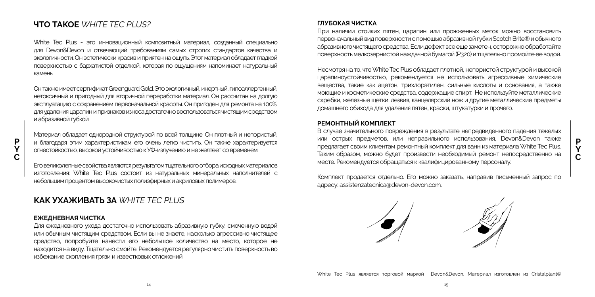# **ЧТО ТАКОЕ** *WHITE TEC PLUS?*

White Tec Plus - это инновационный композитный материал, созданный специально для Devon&Devon и отвечающий требованиям самых строгих стандартов качества и экологичности. Он эстетически красив и приятен на ощупь. Этот материал обладает гладкой поверхностью с бархатистой отделкой, которая по ощущениям напоминает натуральный камень.

Он также имеет сертификат Greenguard Gold. Это экологичный, инертный, гипоаллергенный, нетоксичный и пригодный для вторичной переработки материал. Он рассчитан на долгую эксплуатацию с сохранением первоначальной красоты. Он пригоден для ремонта на 100%: для удаления царапин и признаков износа достаточно воспользоваться чистящим средством и абразивной губкой.

Материал обладает однородной структурой по всей толщине. Он плотный и непористый, и благодаря этим характеристикам его очень легко чистить. Он также характеризуется огнестойкостью, высокой устойчивостью к УФ-излучению и не желтеет со временем.

Его великолепные свойства являются результатом тщательного отбора исходных материалов изготовления: White Tec Plus состоит из натуральных минеральных наполнителей с небольшим процентом высокочистых полиэфирных и акриловых полимеров.

# **КАК УХАЖИВАТЬ ЗА** *WHITE TEC PLUS*

#### **ЕЖЕДНЕВНАЯ ЧИСТКА**

Для ежедневного ухода достаточно использовать абразивную губку, смоченную водой или обычным чистящим средством. Если вы не знаете, насколько агрессивно чистящее средство, попробуйте нанести его небольшое количество на место, которое не находится на виду. Тщательно смойте. Рекомендуется регулярно чистить поверхность во избежание скопления грязи и известковых отложений.

#### **ГЛУБОКАЯ ЧИСТКА**

При наличии стойких пятен, царапин или прожженных меток можно восстановить первоначальный вид поверхности с помощью абразивной губки Scotch Brite® и обычного абразивного чистящего средства. Если дефект все еще заметен, осторожно обработайте поверхность мелкозернистой наждачной бумагой (P320) и тщательно промойте ее водой.

Несмотря на то, что White Tec Plus обладает плотной, непористой структурой и высокой царапиноустойчивостью, рекомендуется не использовать агрессивные химические вещества, такие как ацетон, трихлорэтилен, сильные кислоты и основания, а также моющие и косметические средства, содержащие спирт. Не используйте металлические скребки, железные щетки, лезвия, канцелярский нож и другие металлические предметы домашнего обихода для удаления пятен, краски, штукатурки и прочего.

#### **РЕМОНТНЫЙ КОМПЛЕКТ**

В случае значительного повреждения в результате непредвиденного падения тяжелых или острых предметов, или неправильного использования, Devon&Devon также предлагает своим клиентам ремонтный комплект для ванн из материала White Tec Plus. Таким образом, можно будет произвести необходимый ремонт непосредственно на месте. Рекомендуется обращаться к квалифицированному персоналу.

**P Y C**

Комплект продается отдельно. Его можно заказать, направив письменный запрос по адресу: assistenzatecnica@devon-devon.com.



White Tec Plus является торговой маркой Devon&Devon. Материал изготовлен из Cristalplant®